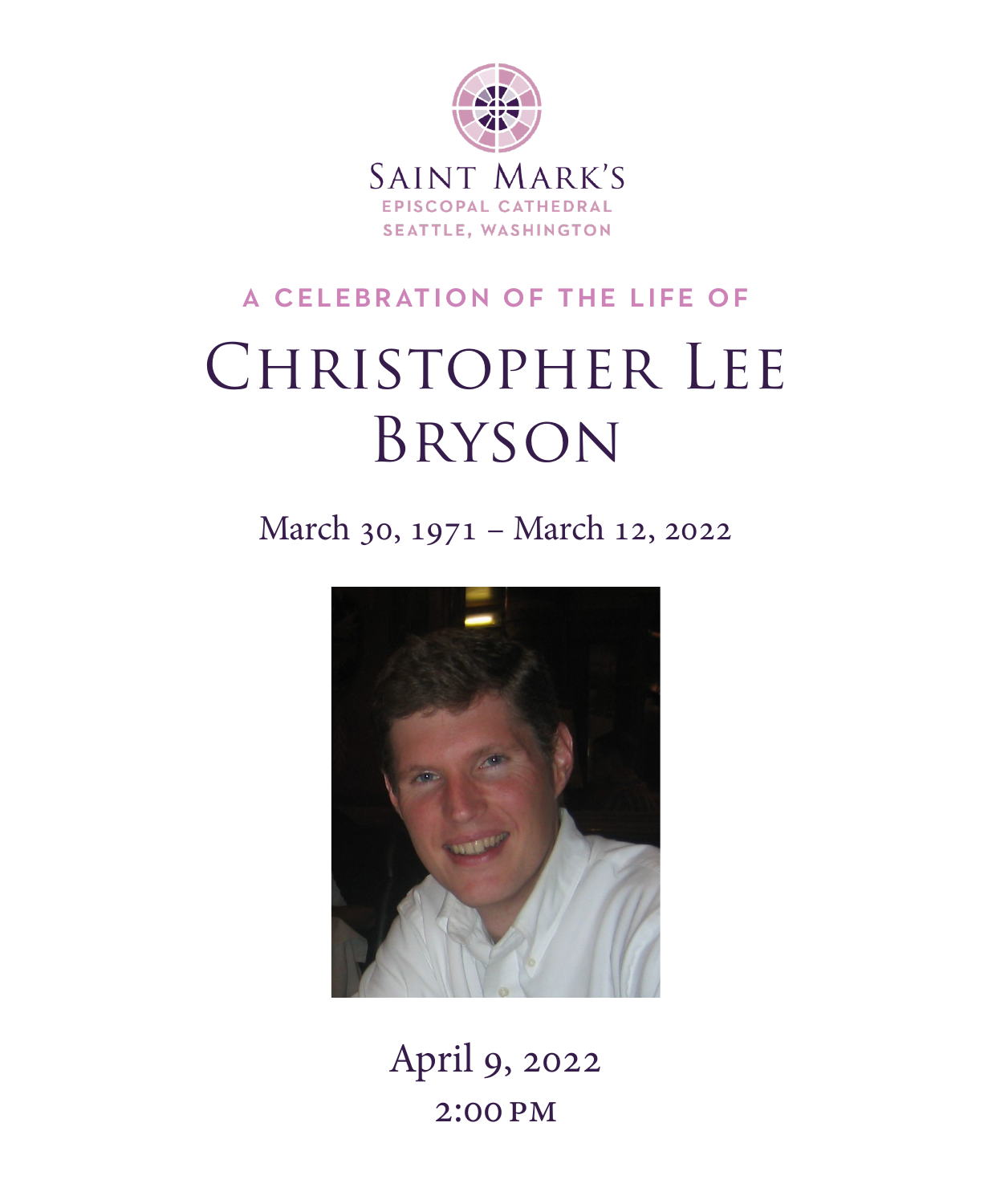

# a celebration of the life of CHRISTOPHER LEE Bryson

March 30, 1971 – March 12, 2022



April 9, 2022 2:00 pm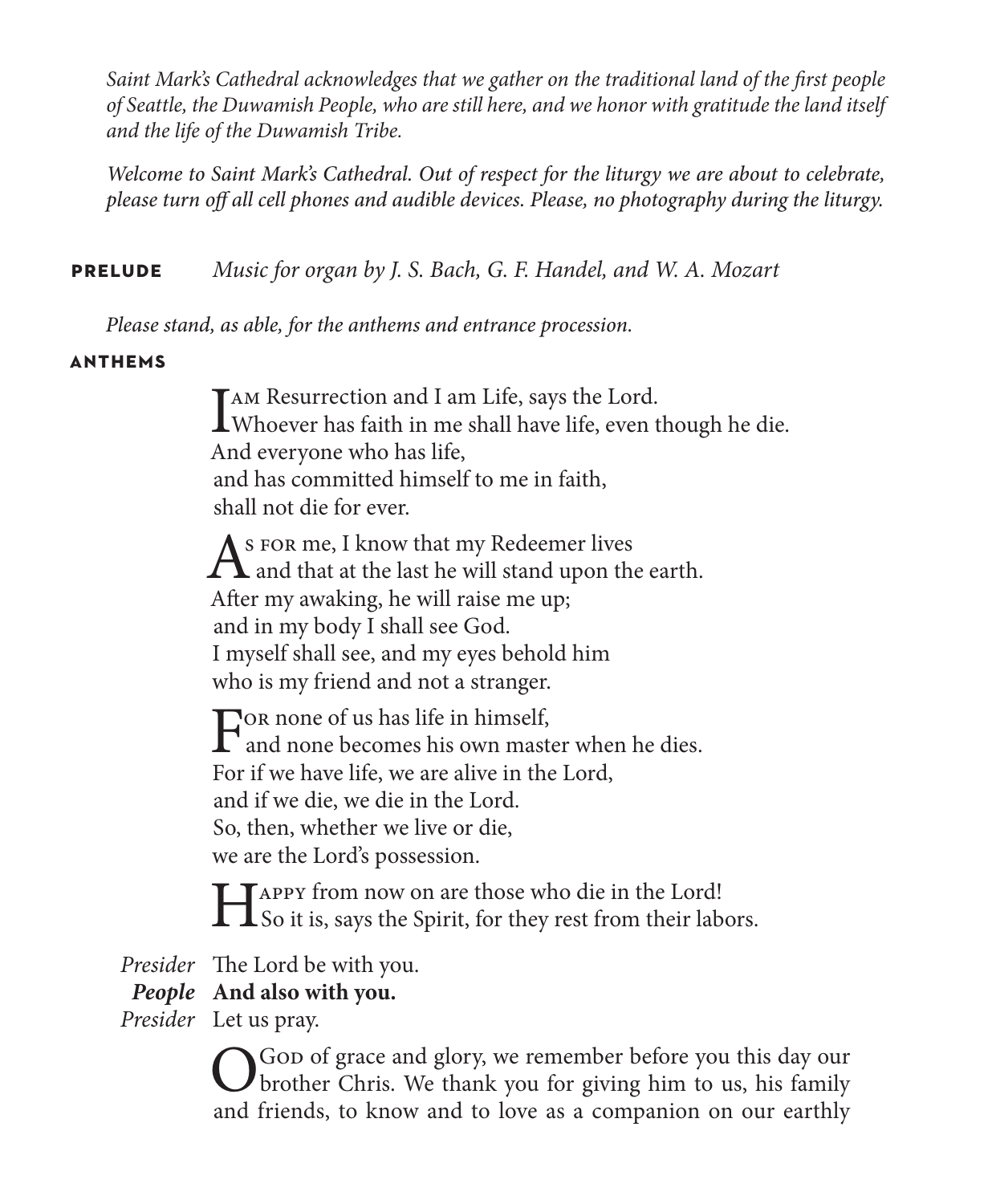*Saint Mark's Cathedral acknowledges that we gather on the traditional land of the first people of Seattle, the Duwamish People, who are still here, and we honor with gratitude the land itself and the life of the Duwamish Tribe.* 

*Welcome to Saint Mark's Cathedral. Out of respect for the liturgy we are about to celebrate, please turn off all cell phones and audible devices. Please, no photography during the liturgy.*

**prelude** *Music for organ by J. S. Bach, G. F. Handel, and W. A. Mozart*

*Please stand, as able, for the anthems and entrance procession.*

### **anthems**

I AM Resurrection and I am Life, says the Lord.<br>Whoever has faith in me shall have life, even though he die. And everyone who has life, and has committed himself to me in faith, shall not die for ever.

As FOR me, I know that my Redeemer lives<br>and that at the last he will stand upon the earth. After my awaking, he will raise me up; and in my body I shall see God. I myself shall see, and my eyes behold him who is my friend and not a stranger.

For none of us has life in himself,<br>and none becomes his own master when he dies. For if we have life, we are alive in the Lord, and if we die, we die in the Lord. So, then, whether we live or die, we are the Lord's possession.

Happy from now on are those who die in the Lord! So it is, says the Spirit, for they rest from their labors.

*Presider* The Lord be with you.

### *People* **And also with you.**

*Presider* Let us pray.

O God of grace and glory, we remember before you this day our brother Chris. We thank you for giving him to us, his family and friends, to know and to love as a companion on our earthly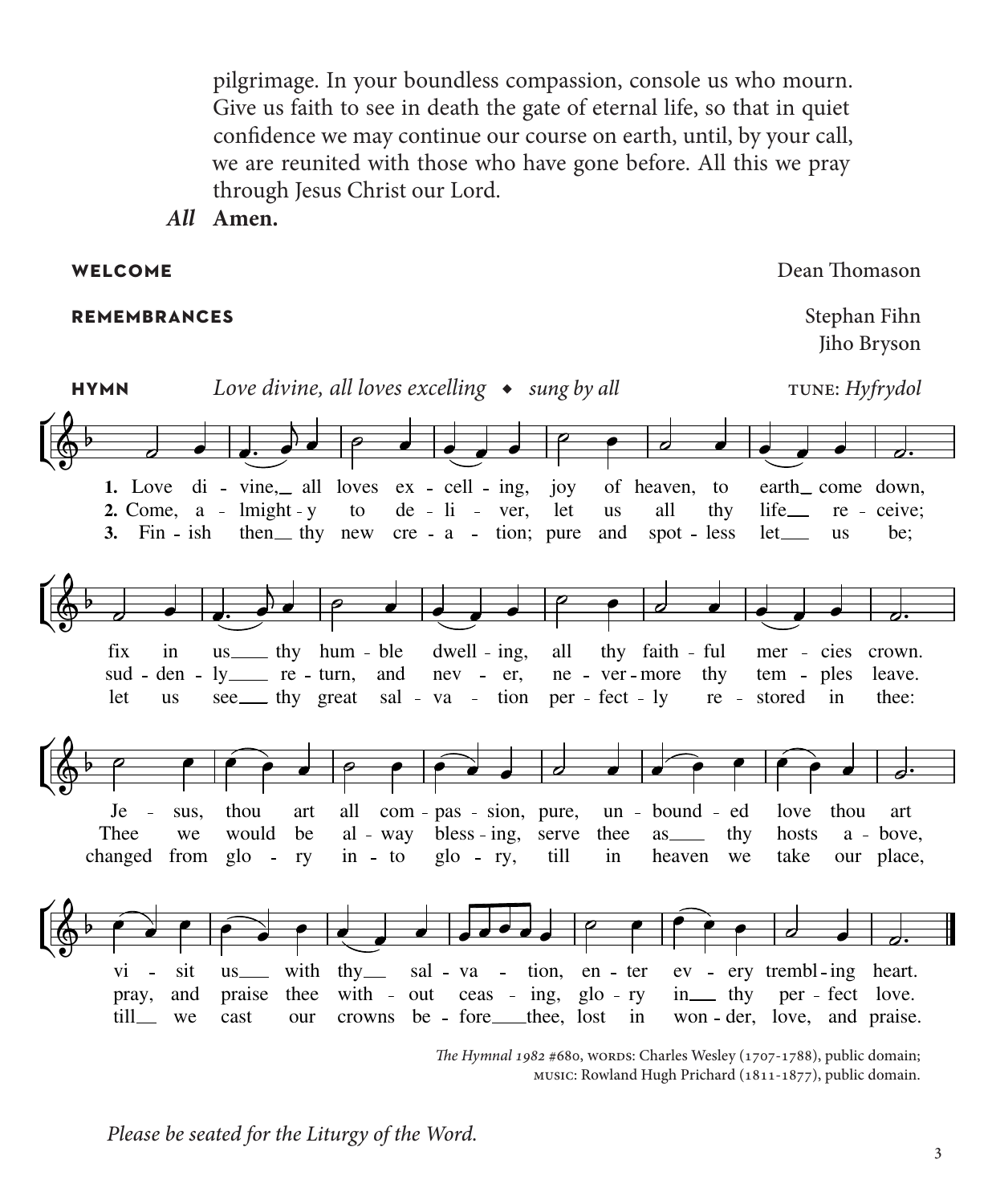pilgrimage. In your boundless compassion, console us who mourn. Give us faith to see in death the gate of eternal life, so that in quiet confidence we may continue our course on earth, until, by your call, we are reunited with those who have gone before. All this we pray through Jesus Christ our Lord.

*All* **Amen.**

### **remembrances** Stephan Fihn

**welcome** Dean Thomason

Jiho Bryson



*The Hymnal 1982* #680, wORDS: Charles Wesley (1707-1788), public domain; music: Rowland Hugh Prichard (1811-1877), public domain.

*Please be seated for the Liturgy of the Word.*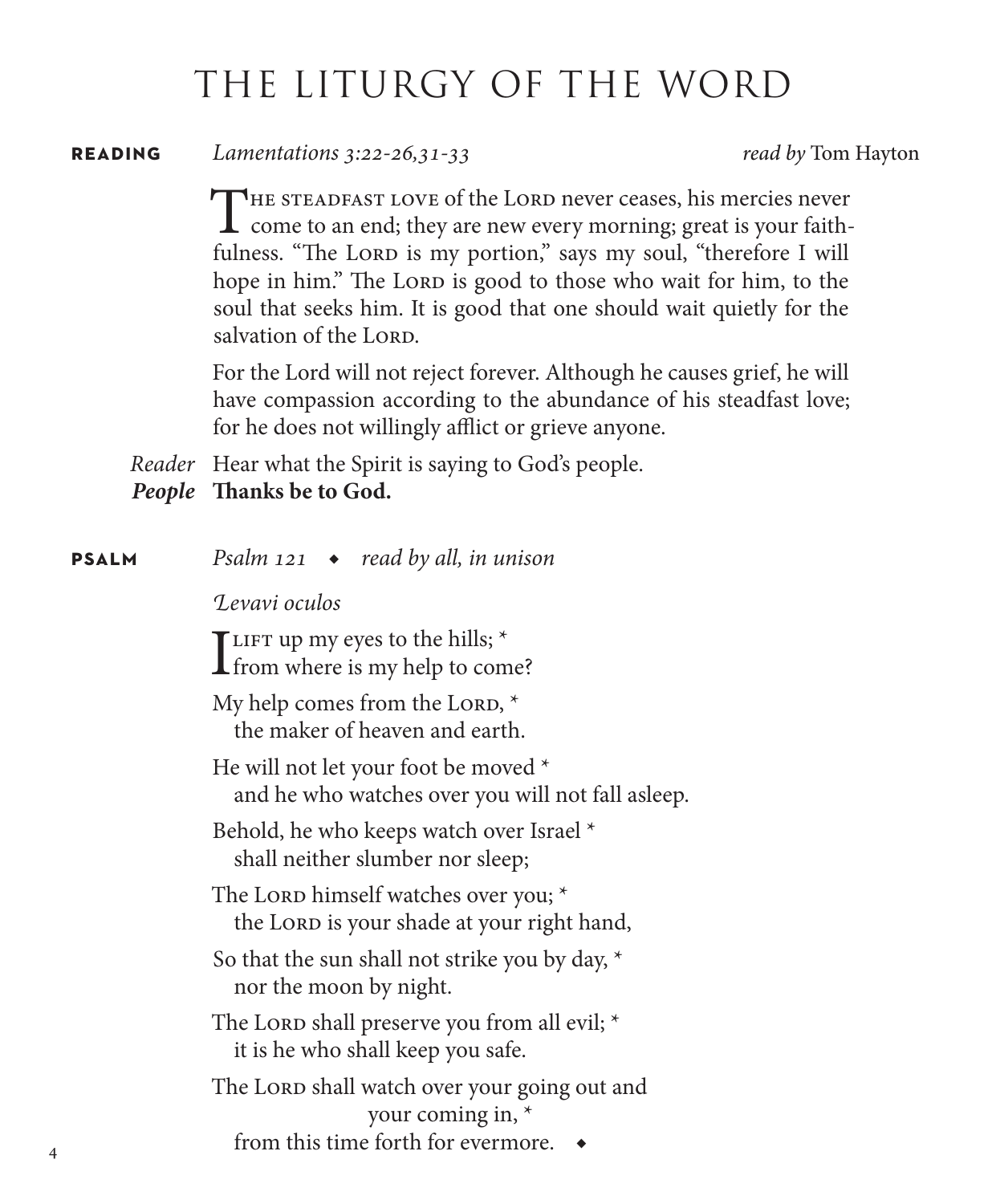## THE LITURGY OF THE WORD

**reading** *Lamentations 3:22-26,31-33 read by* Tom Hayton

THE STEADFAST LOVE of the LORD never ceases, his mercies never **L** come to an end; they are new every morning; great is your faithfulness. "The Lord is my portion," says my soul, "therefore I will hope in him." The Lorp is good to those who wait for him, to the soul that seeks him. It is good that one should wait quietly for the salvation of the LORD.

For the Lord will not reject forever. Although he causes grief, he will have compassion according to the abundance of his steadfast love; for he does not willingly afflict or grieve anyone.

*Reader* Hear what the Spirit is saying to God's people.

*People* **Thanks be to God.**

4

| <b>PSALM</b> | Psalm $121 \rightarrow$ read by all, in unison                                            |
|--------------|-------------------------------------------------------------------------------------------|
|              | Levavi oculos                                                                             |
|              | TLIFT up my eyes to the hills; $*$<br><b>L</b> from where is my help to come?             |
|              | My help comes from the LORD, *<br>the maker of heaven and earth.                          |
|              | He will not let your foot be moved *<br>and he who watches over you will not fall asleep. |
|              | Behold, he who keeps watch over Israel *<br>shall neither slumber nor sleep;              |
|              | The LORD himself watches over you; *<br>the LORD is your shade at your right hand,        |
|              | So that the sun shall not strike you by day, $*$<br>nor the moon by night.                |
|              | The LORD shall preserve you from all evil; *<br>it is he who shall keep you safe.         |
|              | The LORD shall watch over your going out and<br>your coming in, *                         |
|              | from this time forth for evermore.                                                        |
|              |                                                                                           |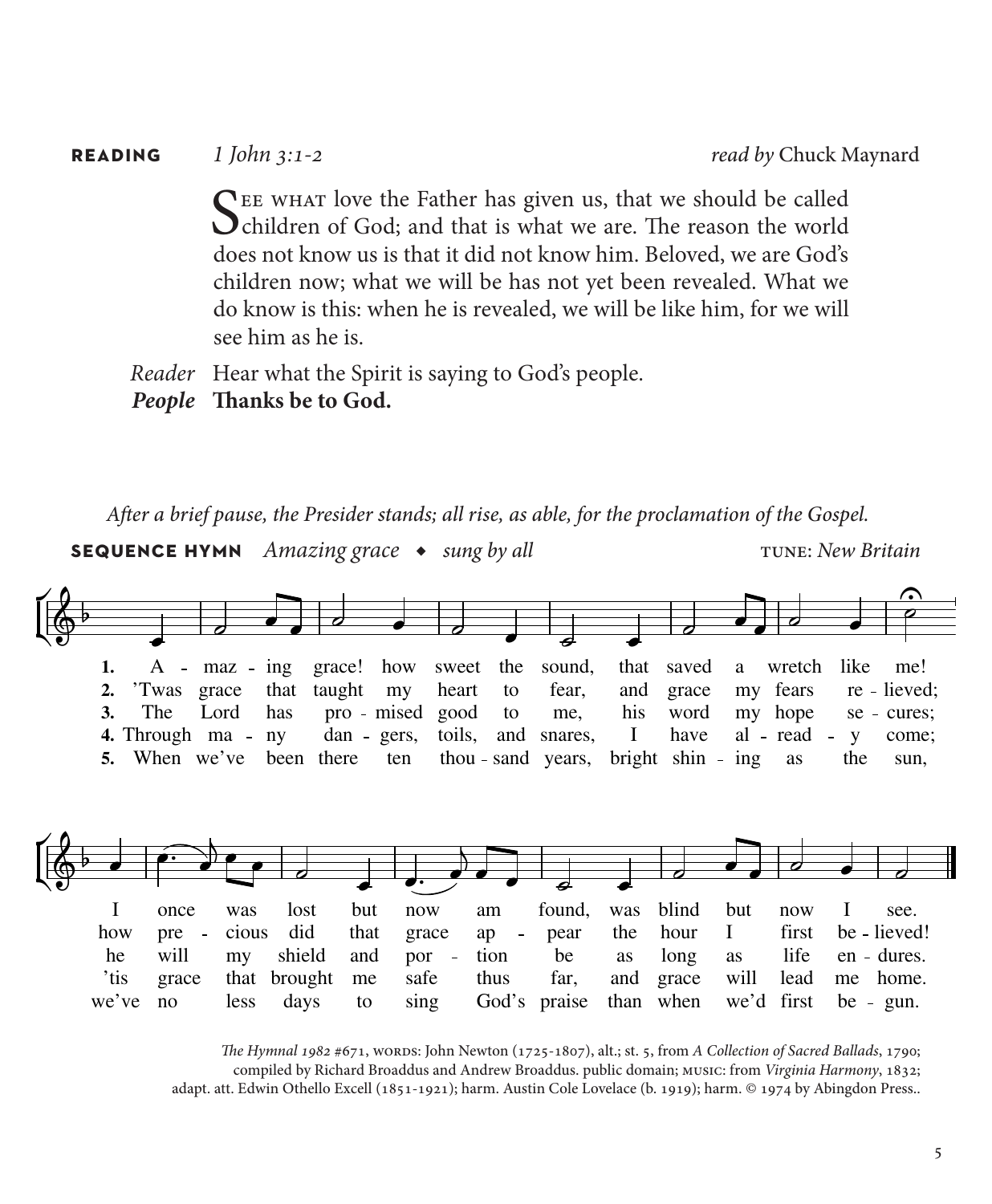| <b>READING</b> | 1 John 3:1-2                                                                                                                                                                                                                                                                                                                                                                 | read by Chuck Maynard |
|----------------|------------------------------------------------------------------------------------------------------------------------------------------------------------------------------------------------------------------------------------------------------------------------------------------------------------------------------------------------------------------------------|-----------------------|
|                | THE WHAT love the Father has given us, that we should be called<br>Ochildren of God; and that is what we are. The reason the world<br>does not know us is that it did not know him. Beloved, we are God's<br>children now; what we will be has not yet been revealed. What we<br>do know is this: when he is revealed, we will be like him, for we will<br>see him as he is. |                       |
|                | Reader Hear what the Spirit is saying to God's people.<br>People Thanks be to God.                                                                                                                                                                                                                                                                                           |                       |

*After a brief pause, the Presider stands; all rise, as able, for the proclamation of the Gospel.*  **sequence hymn** *Amazing grace* ◆ *sung by all* tune: *New Britain*  $\geq$ ŕ  $\frac{1}{\rho}$ ֍ L  $\frac{1}{\circ}$ L  $\overline{\bullet}$  $\blacksquare$  $\overline{\phantom{a}}$  $\overline{\phantom{a}}$  $\overline{\phantom{a}}$  $\overline{\phantom{a}}$  $\overline{\phantom{a}}$ Ľ  $\overline{\phantom{a}}$  $\blacksquare$  $\blacksquare$  $\blacksquare$ 1.  $A - max - img$ sound, wretch like grace! how sweet the that saved a me! 2. 'Twas grace that taught my heart to fear, and grace my fears re - lieved; 3. The Lord has pro mised good to me, his word hope my se - cures; 4. Through ma - ny dan gers, and snares, I have al - read toils, y come; 5. When we've been there ten thou - sand years, bright shin - ing as the sun,  $\overline{a}$ ŕ  $\overline{1}$  $\frac{2}{9}$ é ŕ  $\left\langle \left\langle \cdot\right\rangle \right\rangle =\left\langle \left\langle \cdot\right\rangle \right\rangle _{c}=$  $\overline{\phantom{a}}$  $\mathbf{V}$  $\overline{\phantom{a}}$  $\overline{\phantom{a}}$  $\overline{\phantom{a}}$  $\overline{\phantom{a}}$  $\overline{\phantom{a}}$  $\overline{\phantom{a}}$  $\overline{\phantom{a}}$  $\overline{\phantom{a}}$  $\overline{\phantom{a}}$  $\overline{\phantom{a}}$  $\begin{array}{c} \begin{array}{c} \end{array} \end{array}$  $\overline{\phantom{a}}$ I found, once was lost but now am was blind but now I see. how cious did that hour I first pre grace ap pear the be - lieved! he will my shield and por  $\sim$   $\pm$ tion be as long as life en - dures. 'tis grace that brought me safe thus far, and grace will lead home. me we've days God's praise when we'd first be - gun. no less to singthan

> *The Hymnal 1982* #671, words: John Newton (1725-1807), alt.; st. 5, from *A Collection of Sacred Ballads*, 1790; compiled by Richard Broaddus and Andrew Broaddus. public domain; music: from *Virginia Harmony*, 1832; adapt. att. Edwin Othello Excell (1851-1921); harm. Austin Cole Lovelace (b. 1919); harm. © 1974 by Abingdon Press..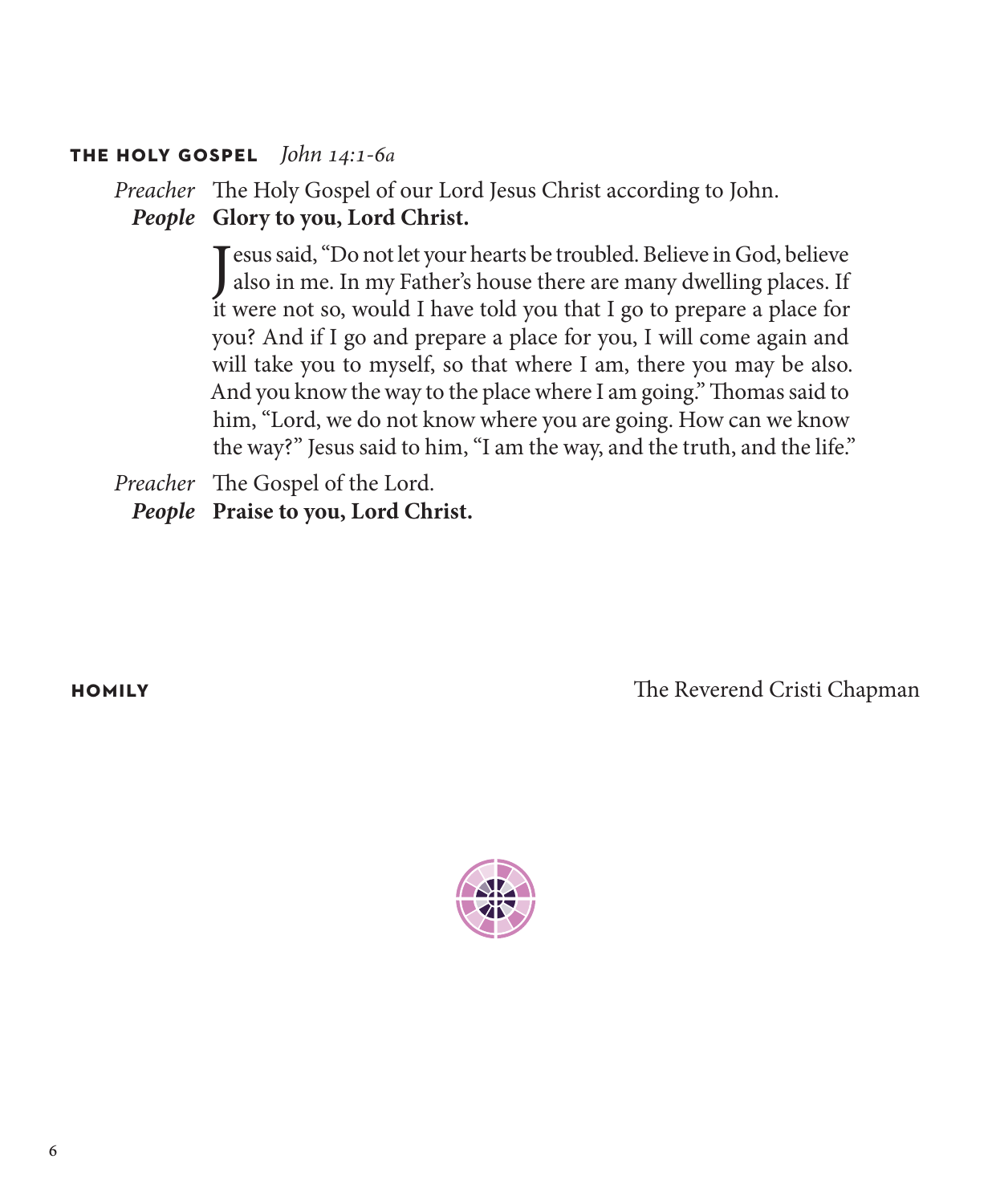### **the holy gospel** *John 14:1-6a*

*Preacher* The Holy Gospel of our Lord Jesus Christ according to John. *People* **Glory to you, Lord Christ.**

> Jesus said, "Do not let your hearts be troubled. Believe in God, believe<br>also in me. In my Father's house there are many dwelling places. If also in me. In my Father's house there are many dwelling places. If it were not so, would I have told you that I go to prepare a place for you? And if I go and prepare a place for you, I will come again and will take you to myself, so that where I am, there you may be also. And you know the way to the place where I am going." Thomas said to him, "Lord, we do not know where you are going. How can we know the way?" Jesus said to him, "I am the way, and the truth, and the life."

*Preacher* The Gospel of the Lord. *People* **Praise to you, Lord Christ.**

**homily** The Reverend Cristi Chapman

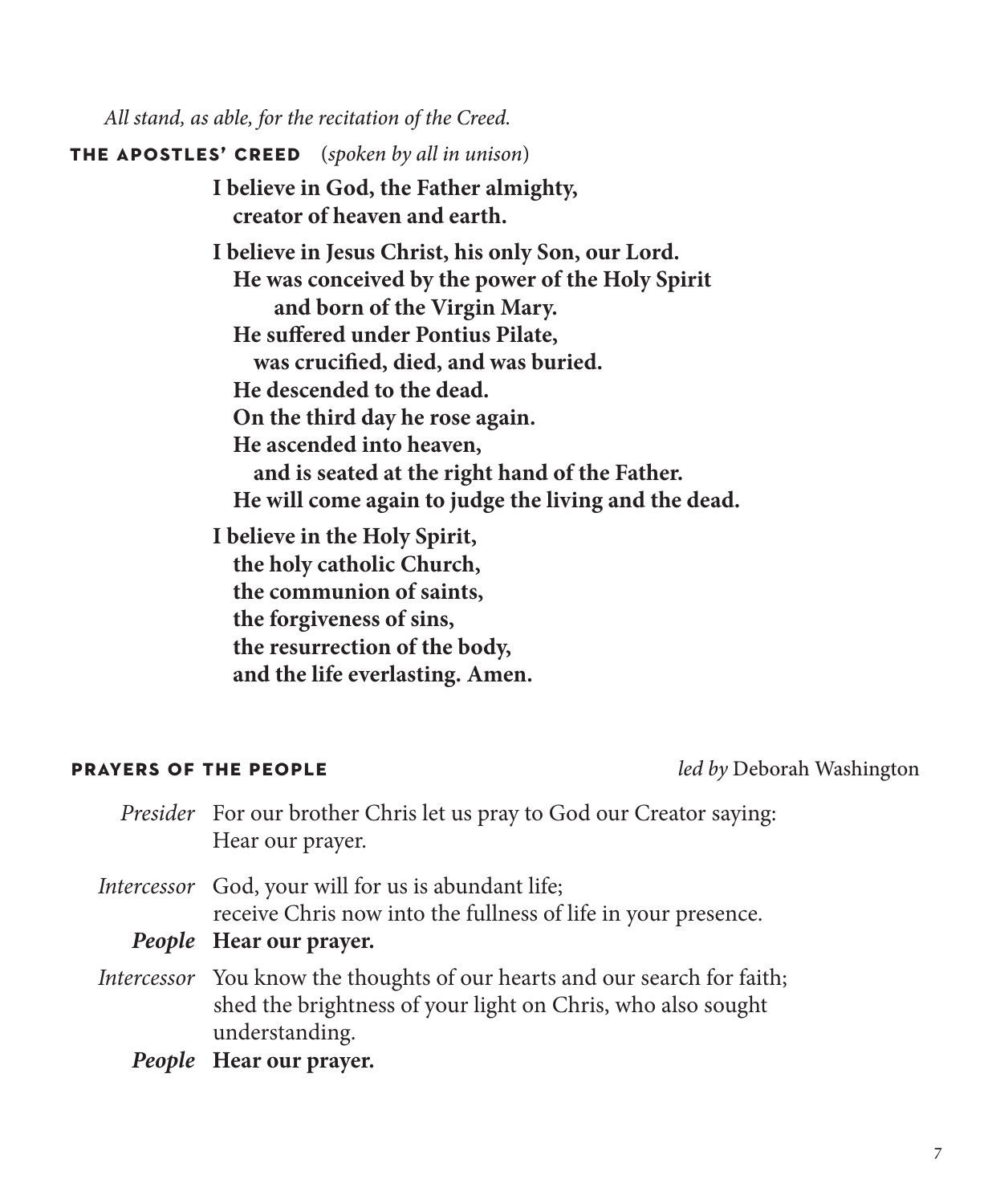*All stand, as able, for the recitation of the Creed.*

**the apostles' creed**(*spoken by all in unison*)

**I believe in God, the Father almighty, creator of heaven and earth.**

**I believe in Jesus Christ, his only Son, our Lord. He was conceived by the power of the Holy Spirit and born of the Virgin Mary. He suffered under Pontius Pilate, was crucified, died, and was buried. He descended to the dead. On the third day he rose again. He ascended into heaven, and is seated at the right hand of the Father. He will come again to judge the living and the dead.**

**I believe in the Holy Spirit, the holy catholic Church, the communion of saints, the forgiveness of sins, the resurrection of the body, and the life everlasting. Amen.**

### **prayers of the people** *led by* Deborah Washington

| <i>Presider</i> For our brother Chris let us pray to God our Creator saying:<br>Hear our prayer.                                                           |
|------------------------------------------------------------------------------------------------------------------------------------------------------------|
| <i>Intercessor</i> God, your will for us is abundant life;<br>receive Chris now into the fullness of life in your presence.                                |
| People Hear our prayer.                                                                                                                                    |
| Intercessor You know the thoughts of our hearts and our search for faith;<br>shed the brightness of your light on Chris, who also sought<br>understanding. |

*People* **Hear our prayer.**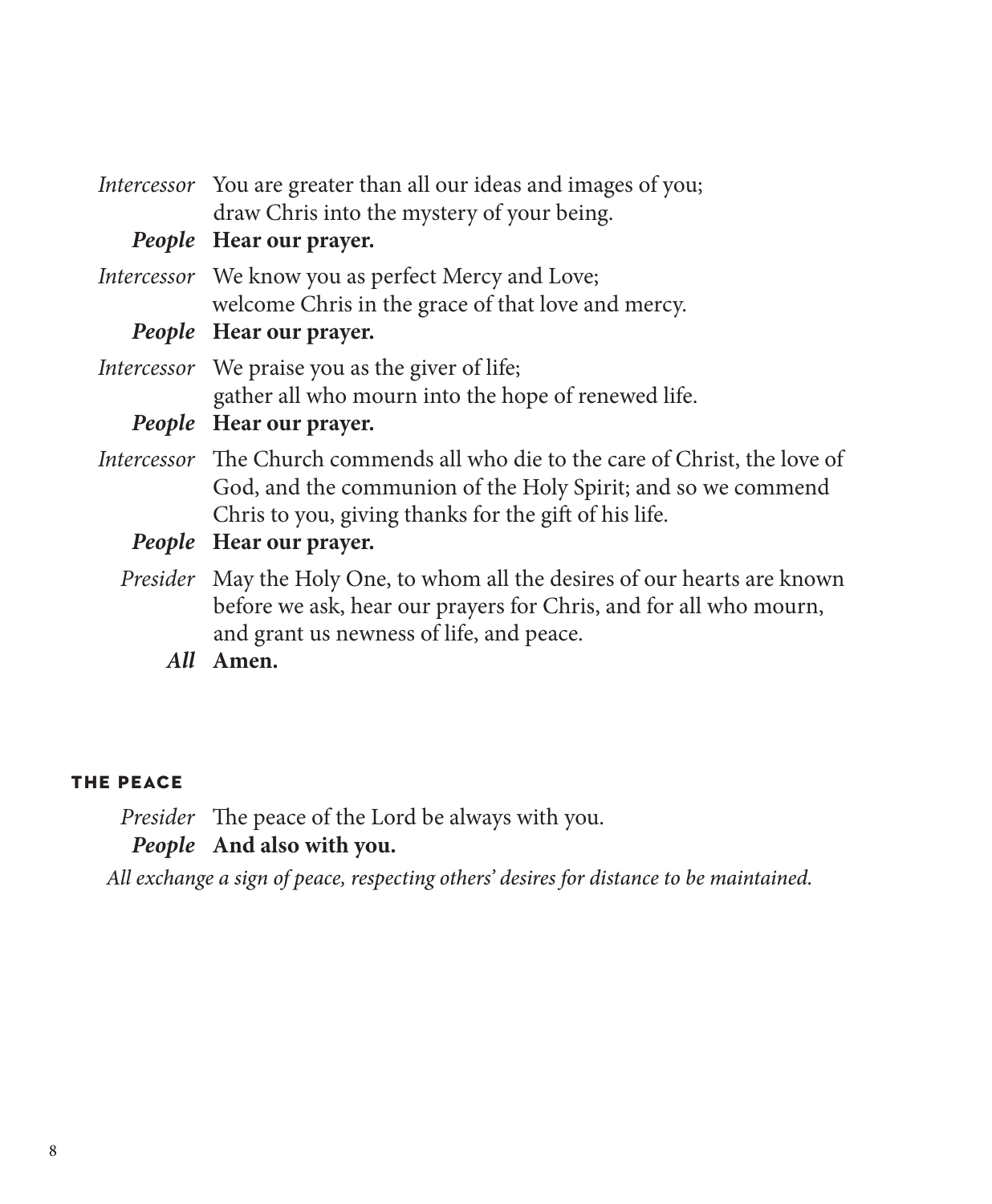| <i>Intercessor</i> You are greater than all our ideas and images of you;<br>draw Chris into the mystery of your being.                                                                                         |
|----------------------------------------------------------------------------------------------------------------------------------------------------------------------------------------------------------------|
| People Hear our prayer.                                                                                                                                                                                        |
| Intercessor We know you as perfect Mercy and Love;<br>welcome Chris in the grace of that love and mercy.                                                                                                       |
| People Hear our prayer.                                                                                                                                                                                        |
| <i>Intercessor</i> We praise you as the giver of life;<br>gather all who mourn into the hope of renewed life.                                                                                                  |
| People Hear our prayer.                                                                                                                                                                                        |
| <i>Intercessor</i> The Church commends all who die to the care of Christ, the love of<br>God, and the communion of the Holy Spirit; and so we commend<br>Chris to you, giving thanks for the gift of his life. |
| People Hear our prayer.                                                                                                                                                                                        |
| Presider May the Holy One, to whom all the desires of our hearts are known<br>before we ask, hear our prayers for Chris, and for all who mourn,<br>and grant us newness of life, and peace.                    |

*All* **Amen.**

### **the peace**

*Presider* The peace of the Lord be always with you. *People* **And also with you.**

*All exchange a sign of peace, respecting others' desires for distance to be maintained.*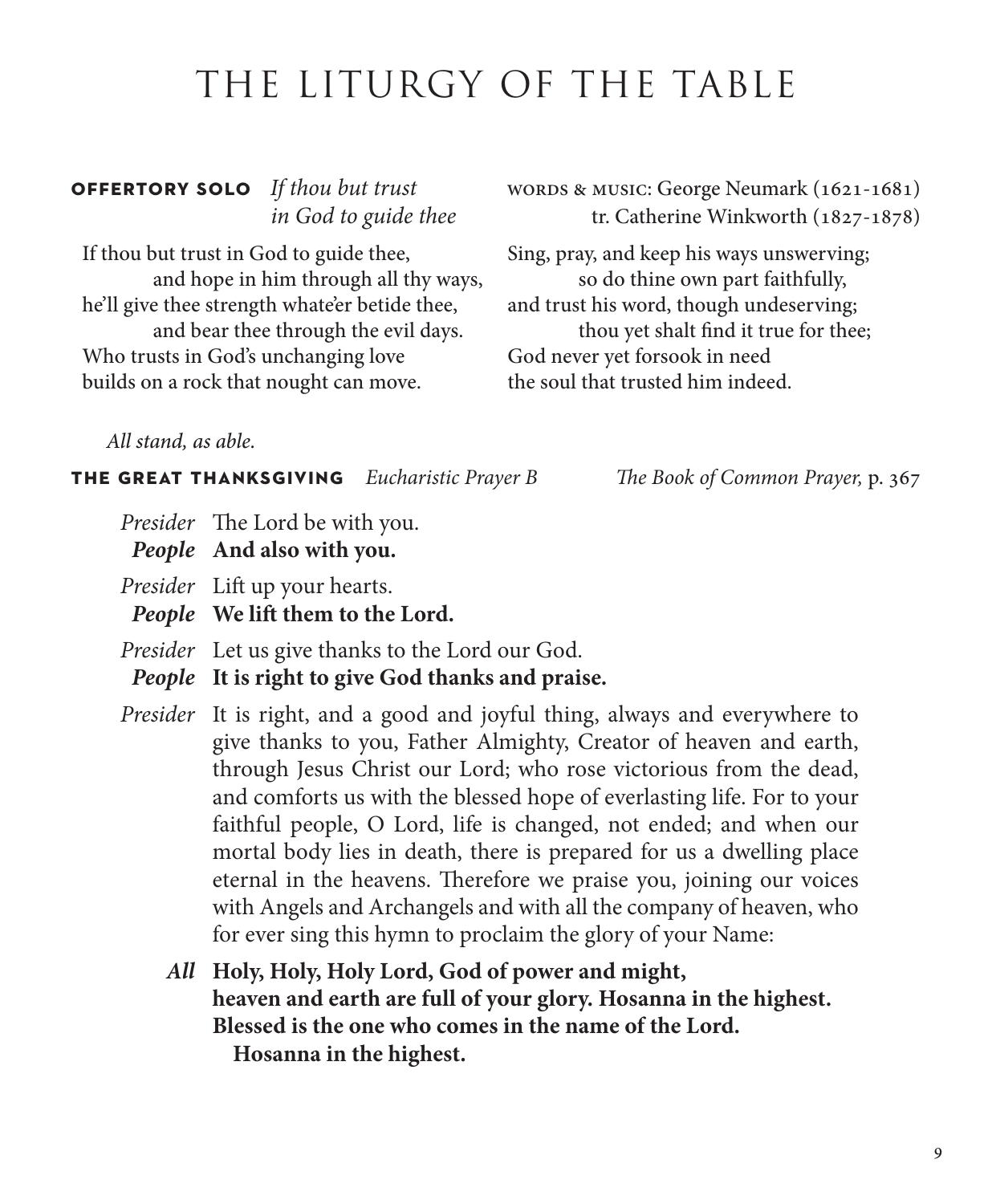## THE LITURGY OF THE TABLE

If thou but trust in God to guide thee, and hope in him through all thy ways, he'll give thee strength whate'er betide thee, and bear thee through the evil days. Who trusts in God's unchanging love builds on a rock that nought can move.

**OFFERTORY SOLO** If thou but trust words & MUSIC: George Neumark (1621-1681) *in God to guide thee* tr. Catherine Winkworth (1827-1878)

> Sing, pray, and keep his ways unswerving; so do thine own part faithfully, and trust his word, though undeserving; thou yet shalt find it true for thee; God never yet forsook in need the soul that trusted him indeed.

*All stand, as able.*

**the great thanksgiving** *Eucharistic Prayer B The Book of Common Prayer,* p. 367

- *Presider* The Lord be with you.
- *People* **And also with you.**

*Presider* Lift up your hearts.

*People* **We lift them to the Lord.** 

*Presider* Let us give thanks to the Lord our God.

*People* **It is right to give God thanks and praise.**

*Presider* It is right, and a good and joyful thing, always and everywhere to give thanks to you, Father Almighty, Creator of heaven and earth, through Jesus Christ our Lord; who rose victorious from the dead, and comforts us with the blessed hope of everlasting life. For to your faithful people, O Lord, life is changed, not ended; and when our mortal body lies in death, there is prepared for us a dwelling place eternal in the heavens. Therefore we praise you, joining our voices with Angels and Archangels and with all the company of heaven, who for ever sing this hymn to proclaim the glory of your Name:

*All* **Holy, Holy, Holy Lord, God of power and might, heaven and earth are full of your glory. Hosanna in the highest. Blessed is the one who comes in the name of the Lord. Hosanna in the highest.**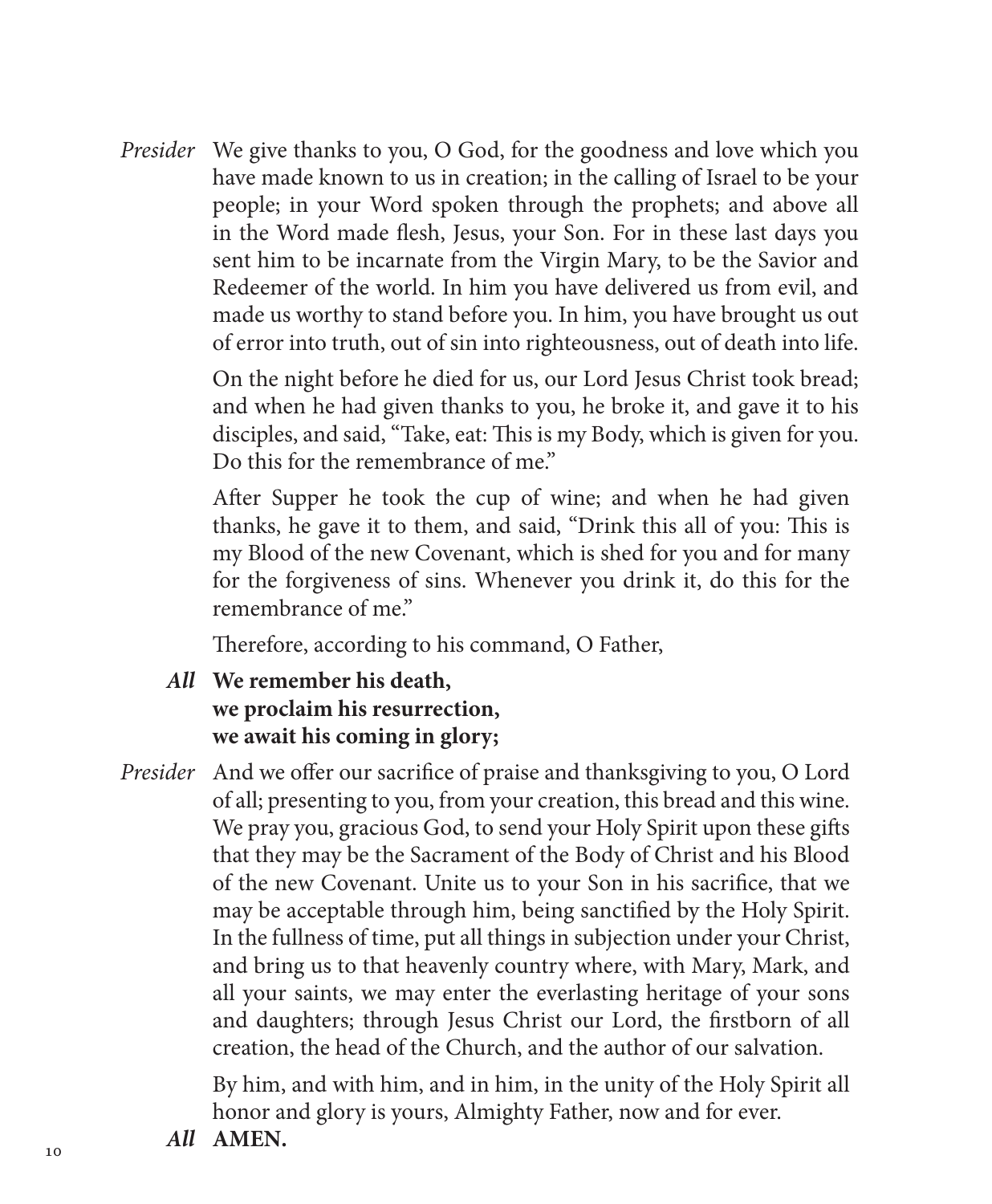*Presider* We give thanks to you, O God, for the goodness and love which you have made known to us in creation; in the calling of Israel to be your people; in your Word spoken through the prophets; and above all in the Word made flesh, Jesus, your Son. For in these last days you sent him to be incarnate from the Virgin Mary, to be the Savior and Redeemer of the world. In him you have delivered us from evil, and made us worthy to stand before you. In him, you have brought us out of error into truth, out of sin into righteousness, out of death into life.

> On the night before he died for us, our Lord Jesus Christ took bread; and when he had given thanks to you, he broke it, and gave it to his disciples, and said, "Take, eat: This is my Body, which is given for you. Do this for the remembrance of me."

After Supper he took the cup of wine; and when he had given thanks, he gave it to them, and said, "Drink this all of you: This is my Blood of the new Covenant, which is shed for you and for many for the forgiveness of sins. Whenever you drink it, do this for the remembrance of me."

Therefore, according to his command, O Father,

- *All* **We remember his death, we proclaim his resurrection, we await his coming in glory;**
- *Presider* And we offer our sacrifice of praise and thanksgiving to you, O Lord of all; presenting to you, from your creation, this bread and this wine. We pray you, gracious God, to send your Holy Spirit upon these gifts that they may be the Sacrament of the Body of Christ and his Blood of the new Covenant. Unite us to your Son in his sacrifice, that we may be acceptable through him, being sanctified by the Holy Spirit. In the fullness of time, put all things in subjection under your Christ, and bring us to that heavenly country where, with Mary, Mark, and all your saints, we may enter the everlasting heritage of your sons and daughters; through Jesus Christ our Lord, the firstborn of all creation, the head of the Church, and the author of our salvation.

By him, and with him, and in him, in the unity of the Holy Spirit all honor and glory is yours, Almighty Father, now and for ever.

*All* **AMEN.**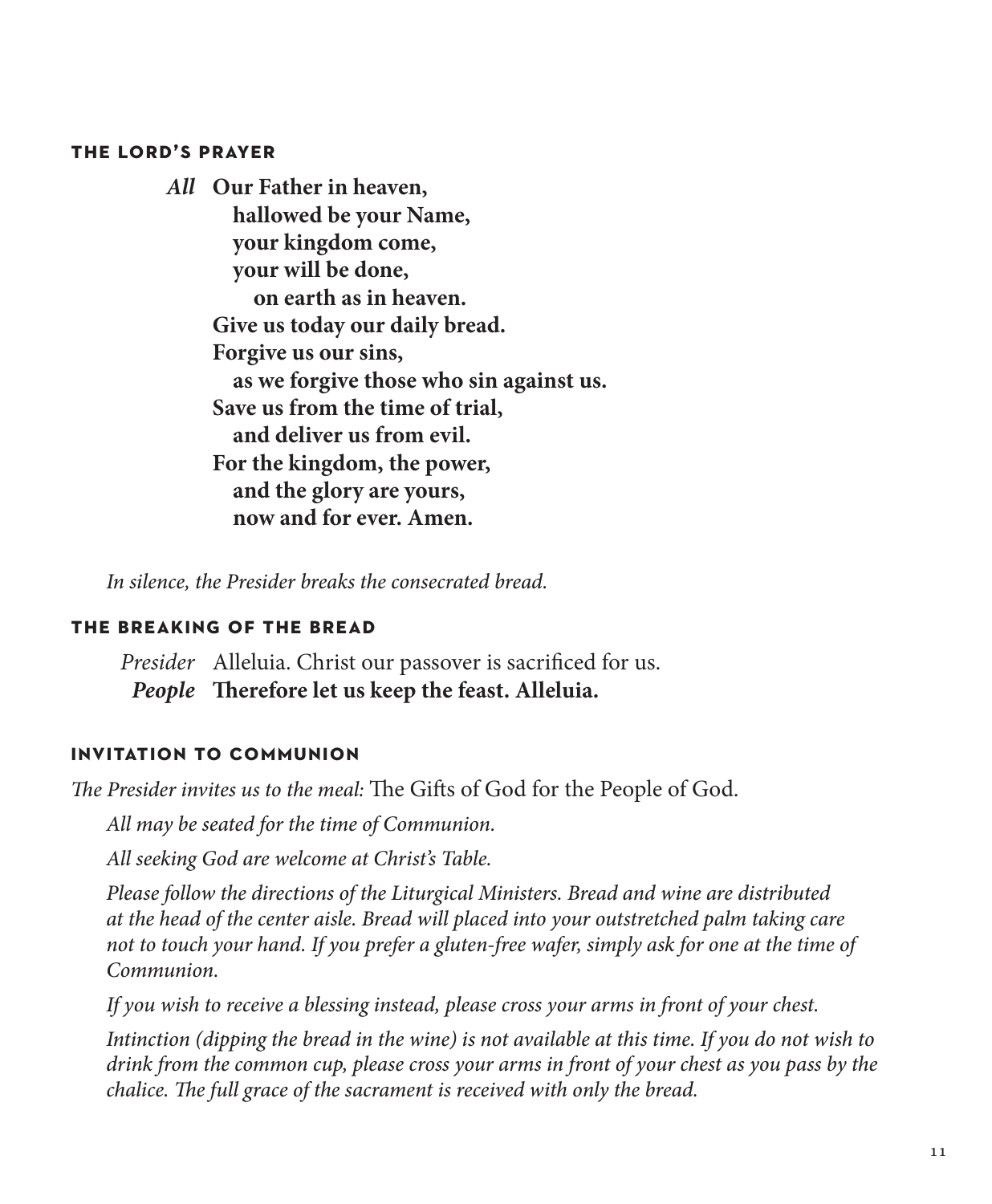### **the lord's prayer**

*All* **Our Father in heaven, hallowed be your Name, your kingdom come, your will be done, on earth as in heaven. Give us today our daily bread. Forgive us our sins, as we forgive those who sin against us. Save us from the time of trial, and deliver us from evil. For the kingdom, the power, and the glory are yours, now and for ever. Amen.**

*In silence, the Presider breaks the consecrated bread.*

### **the breaking of the bread**

*Presider* Alleluia. Christ our passover is sacrificed for us. *People* **Therefore let us keep the feast. Alleluia.**

### **invitation to communion**

*The Presider invites us to the meal:* The Gifts of God for the People of God.

*All may be seated for the time of Communion.*

*All seeking God are welcome at Christ's Table.* 

*Please follow the directions of the Liturgical Ministers. Bread and wine are distributed at the head of the center aisle. Bread will placed into your outstretched palm taking care not to touch your hand. If you prefer a gluten-free wafer, simply ask for one at the time of Communion.*

*If you wish to receive a blessing instead, please cross your arms in front of your chest.*

*Intinction (dipping the bread in the wine) is not available at this time. If you do not wish to drink from the common cup, please cross your arms in front of your chest as you pass by the chalice. The full grace of the sacrament is received with only the bread.*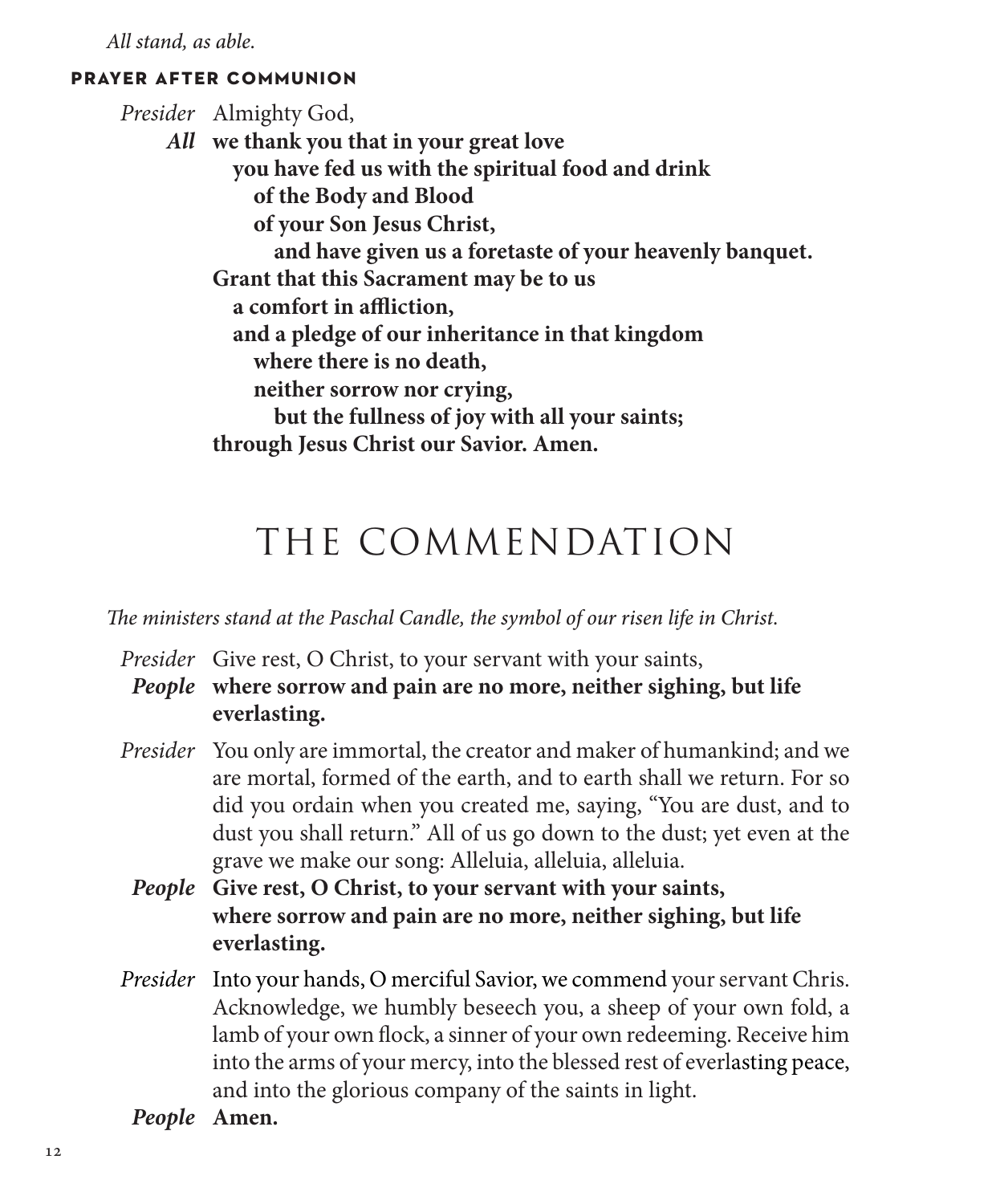*All stand, as able.*

### **prayer after communion**

*Presider* Almighty God, *All* **we thank you that in your great love you have fed us with the spiritual food and drink of the Body and Blood of your Son Jesus Christ, and have given us a foretaste of your heavenly banquet. Grant that this Sacrament may be to us a comfort in affliction, and a pledge of our inheritance in that kingdom where there is no death, neither sorrow nor crying, but the fullness of joy with all your saints; through Jesus Christ our Savior. Amen.**

## THE COMMENDATION

*The ministers stand at the Paschal Candle, the symbol of our risen life in Christ.* 

*Presider* Give rest, O Christ, to your servant with your saints,

*People* **where sorrow and pain are no more, neither sighing, but life everlasting.**

- *Presider* You only are immortal, the creator and maker of humankind; and we are mortal, formed of the earth, and to earth shall we return. For so did you ordain when you created me, saying, "You are dust, and to dust you shall return." All of us go down to the dust; yet even at the grave we make our song: Alleluia, alleluia, alleluia.
	- *People* **Give rest, O Christ, to your servant with your saints, where sorrow and pain are no more, neither sighing, but life everlasting.**
- *Presider* Into your hands, O merciful Savior, we commend your servant Chris. Acknowledge, we humbly beseech you, a sheep of your own fold, a lamb of your own flock, a sinner of your own redeeming. Receive him into the arms of your mercy, into the blessed rest of everlasting peace, and into the glorious company of the saints in light.
- *People* **Amen.**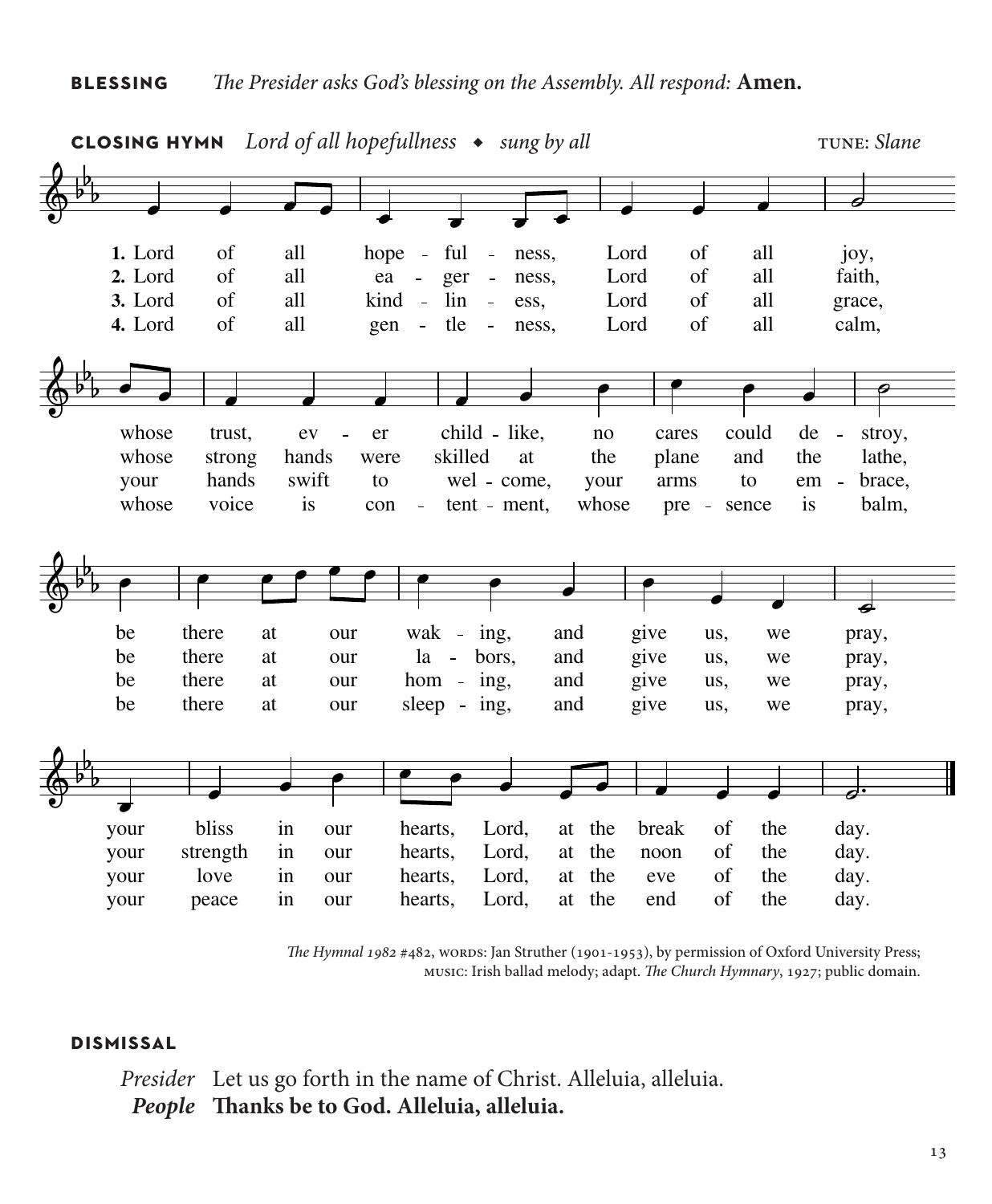

*The Hymnal 1982* #482, words: Jan Struther (1901-1953), by permission of Oxford University Press; music: Irish ballad melody; adapt. *The Church Hymnary*, 1927; public domain.

### **dismissal**

*Presider* Let us go forth in the name of Christ. Alleluia, alleluia. *People* **Thanks be to God. Alleluia, alleluia.**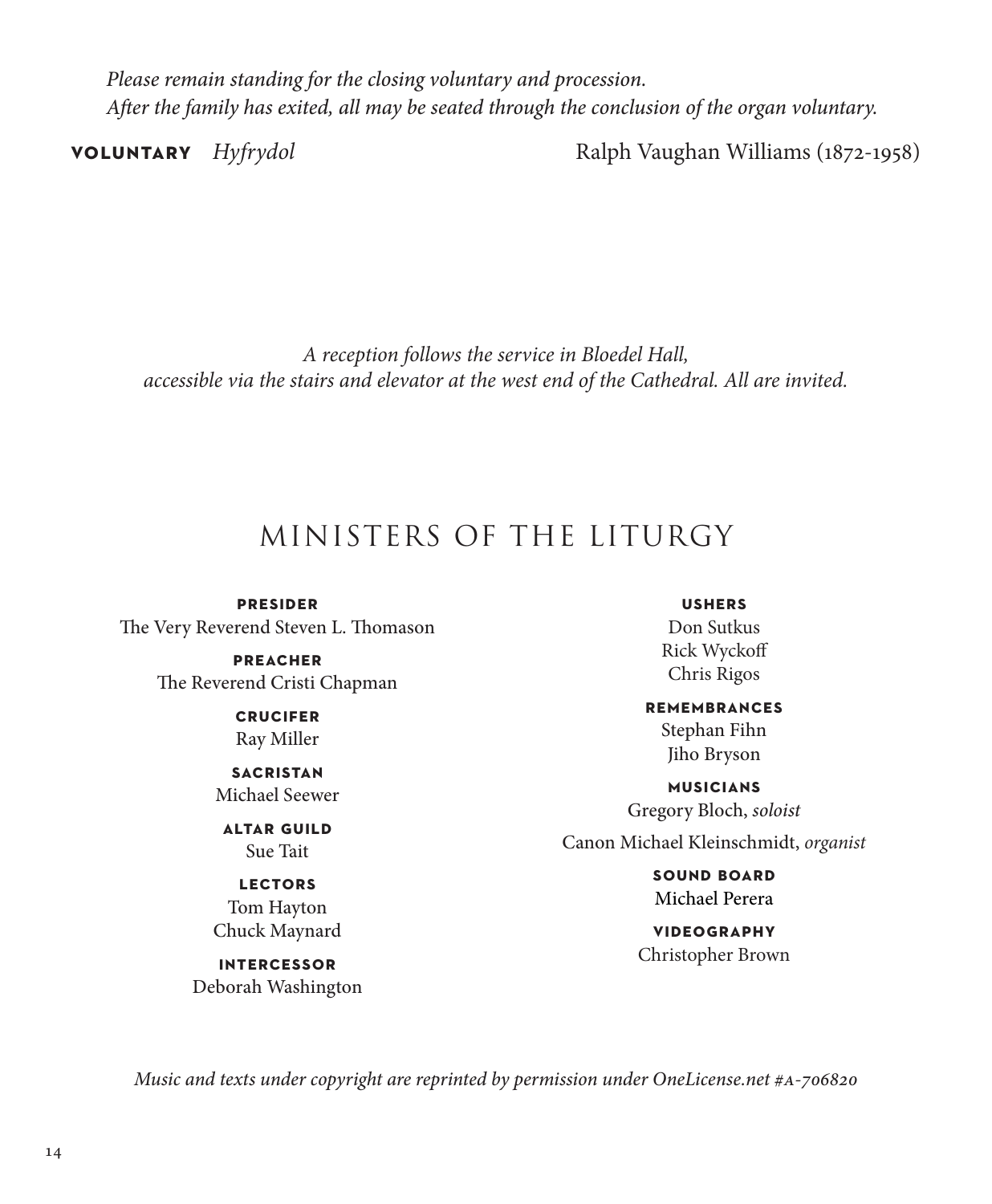*Please remain standing for the closing voluntary and procession. After the family has exited, all may be seated through the conclusion of the organ voluntary.*

**voluntary** *Hyfrydol* Ralph Vaughan Williams (1872-1958)

*A reception follows the service in Bloedel Hall, accessible via the stairs and elevator at the west end of the Cathedral. All are invited.*

## MINISTERS OF THE LITURGY

**presider** The Very Reverend Steven L. Thomason

> **preacher** The Reverend Cristi Chapman

> > **crucifer** Ray Miller

**sacristan** Michael Seewer

**altar guild** Sue Tait

**lectors** Tom Hayton Chuck Maynard

**intercessor** Deborah Washington

**ushers** Don Sutkus Rick Wyckoff Chris Rigos

**remembrances**

Stephan Fihn Jiho Bryson

**musicians** Gregory Bloch, *soloist*

Canon Michael Kleinschmidt, *organist*

**sound board** Michael Perera

**videography** Christopher Brown

*Music and texts under copyright are reprinted by permission under OneLicense.net #a-706820*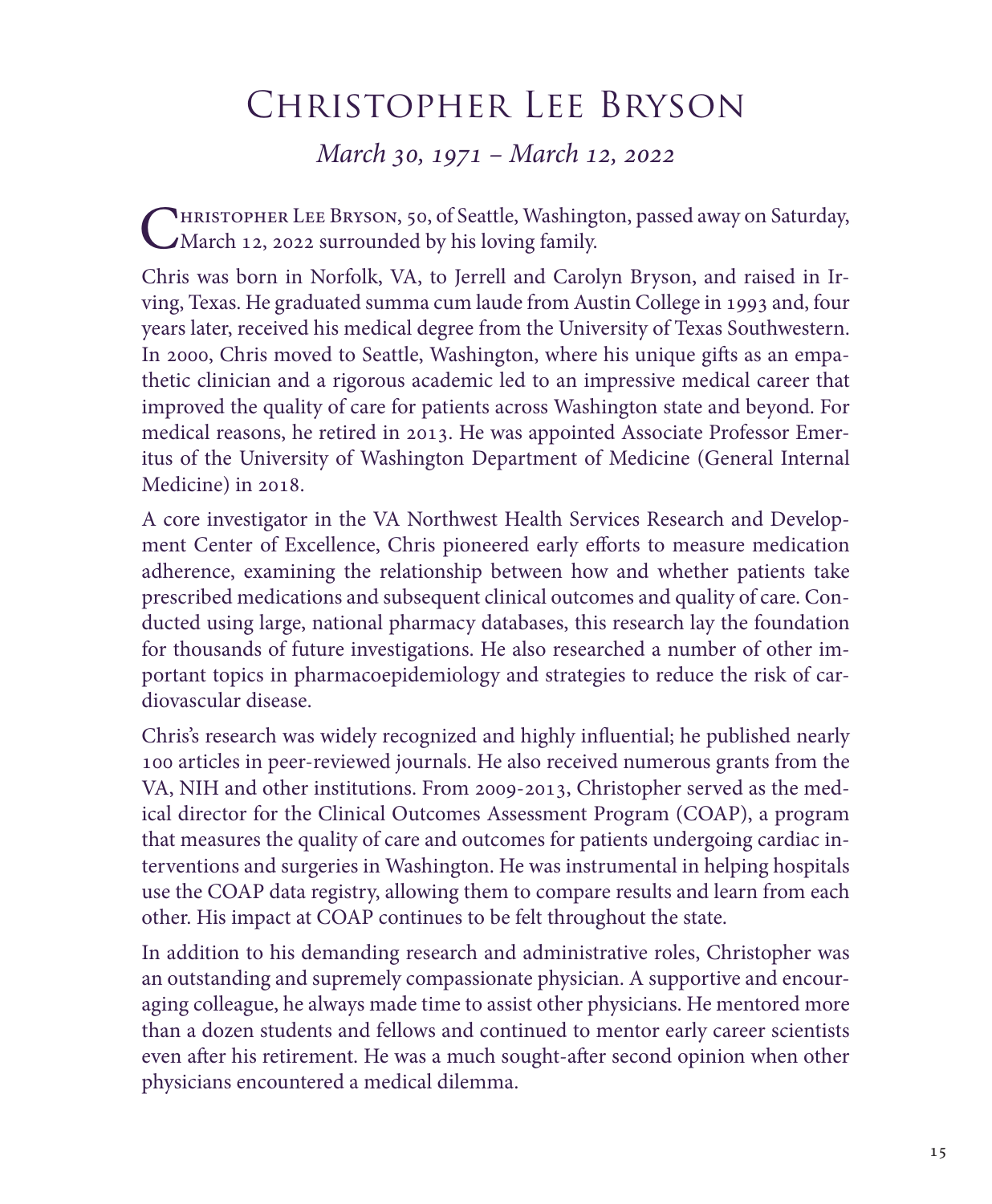## Christopher Lee Bryson

*March 30, 1971 – March 12, 2022*

PHRISTOPHER LEE BRYSON, 50, of Seattle, Washington, passed away on Saturday, March 12, 2022 surrounded by his loving family.

Chris was born in Norfolk, VA, to Jerrell and Carolyn Bryson, and raised in Irving, Texas. He graduated summa cum laude from Austin College in 1993 and, four years later, received his medical degree from the University of Texas Southwestern. In 2000, Chris moved to Seattle, Washington, where his unique gifts as an empathetic clinician and a rigorous academic led to an impressive medical career that improved the quality of care for patients across Washington state and beyond. For medical reasons, he retired in 2013. He was appointed Associate Professor Emeritus of the University of Washington Department of Medicine (General Internal Medicine) in 2018.

A core investigator in the VA Northwest Health Services Research and Development Center of Excellence, Chris pioneered early efforts to measure medication adherence, examining the relationship between how and whether patients take prescribed medications and subsequent clinical outcomes and quality of care. Conducted using large, national pharmacy databases, this research lay the foundation for thousands of future investigations. He also researched a number of other important topics in pharmacoepidemiology and strategies to reduce the risk of cardiovascular disease.

Chris's research was widely recognized and highly influential; he published nearly 100 articles in peer-reviewed journals. He also received numerous grants from the VA, NIH and other institutions. From 2009-2013, Christopher served as the medical director for the Clinical Outcomes Assessment Program (COAP), a program that measures the quality of care and outcomes for patients undergoing cardiac interventions and surgeries in Washington. He was instrumental in helping hospitals use the COAP data registry, allowing them to compare results and learn from each other. His impact at COAP continues to be felt throughout the state.

In addition to his demanding research and administrative roles, Christopher was an outstanding and supremely compassionate physician. A supportive and encouraging colleague, he always made time to assist other physicians. He mentored more than a dozen students and fellows and continued to mentor early career scientists even after his retirement. He was a much sought-after second opinion when other physicians encountered a medical dilemma.